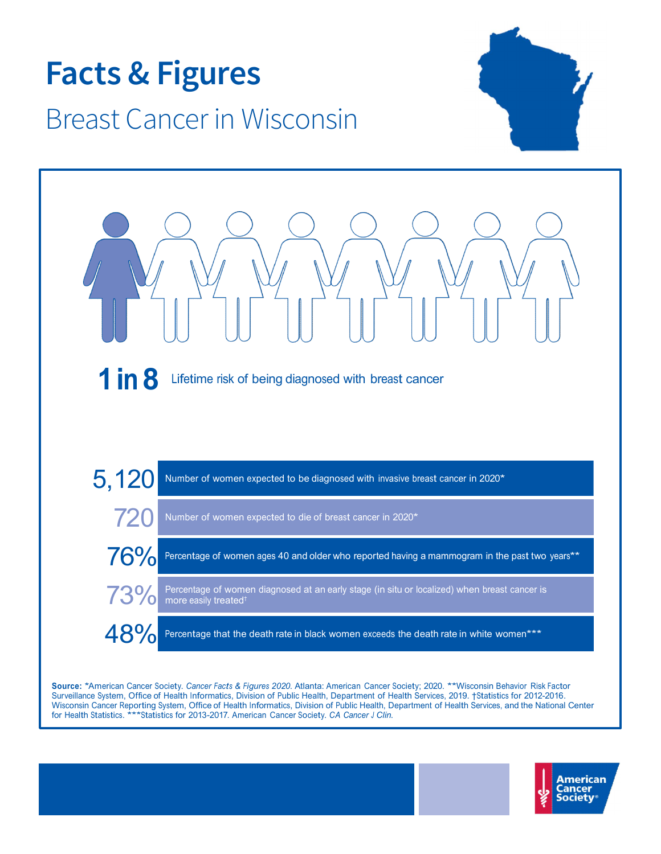

Source: \*American Cancer Society. Cancer Facts & Figures 2020. Atlanta: American Cancer Society; 2020. \*\*Wisconsin Behavior Risk Factor Surveillance System, Office of Health Informatics, Division of Public Health, Department of Health Services, 2019. †Statistics for 2012-2016. Wisconsin Cancer Reporting System, Office of Health Informatics, Division of Public Health, Department of Health Services, and the National Center for Health Statistics. \*\*\* Statistics for 2013-2017. American Cancer Society. CA Cancer J Clin.

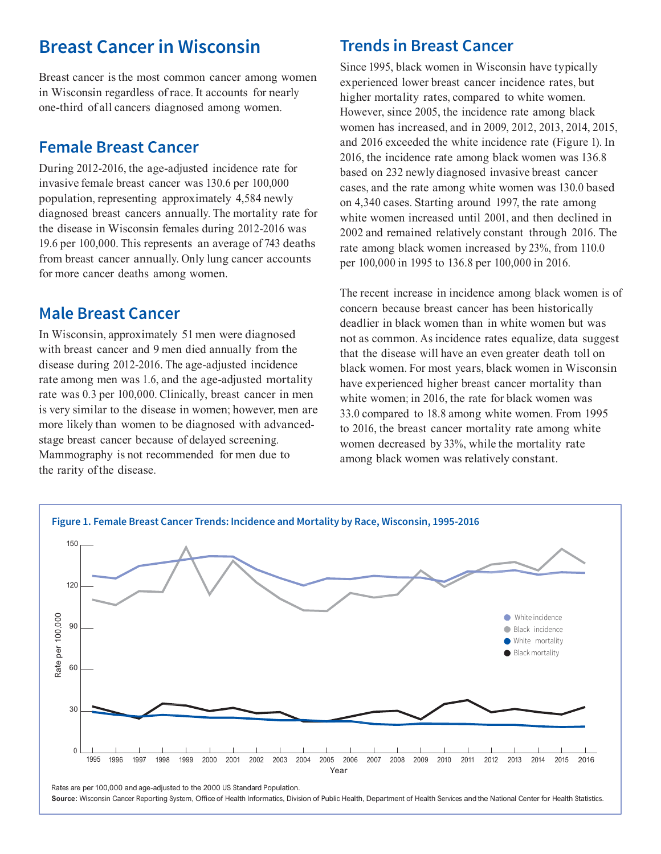# Breast Cancer in Wisconsin

Breast cancer is the most common cancer among women in Wisconsin regardless of race. It accounts for nearly higher mortality rates, compared to white women. one-third of all cancers diagnosed among women.

### Female Breast Cancer

During 2012-2016, the age-adjusted incidence rate for invasive female breast cancer was 130.6 per 100,000 population, representing approximately 4,584 newly diagnosed breast cancers annually. The mortality rate for the disease in Wisconsin females during 2012-2016 was 19.6 per 100,000. This represents an average of 743 deaths from breast cancer annually. Only lung cancer accounts for more cancer deaths among women.

### Male Breast Cancer

In Wisconsin, approximately 51 men were diagnosed with breast cancer and 9 men died annually from the disease during 2012-2016. The age-adjusted incidence rate among men was 1.6, and the age-adjusted mortality rate was 0.3 per 100,000. Clinically, breast cancer in men is very similar to the disease in women; however, men are more likely than women to be diagnosed with advancedstage breast cancer because of delayed screening. Mammography is not recommended for men due to the rarity of the disease.

### Trends in Breast Cancer

Since 1995, black women in Wisconsin have typically experienced lower breast cancer incidence rates, but However, since 2005, the incidence rate among black women has increased, and in 2009, 2012, 2013, 2014, 2015, and 2016 exceeded the white incidence rate (Figure 1). In 2016, the incidence rate among black women was 136.8 based on 232 newly diagnosed invasive breast cancer cases, and the rate among white women was 130.0 based on 4,340 cases. Starting around 1997, the rate among white women increased until 2001, and then declined in 2002 and remained relatively constant through 2016. The rate among black women increased by 23%, from 110.0 per 100,000 in 1995 to 136.8 per 100,000 in 2016.

The recent increase in incidence among black women is of concern because breast cancer has been historically deadlier in black women than in white women but was not as common. As incidence rates equalize, data suggest that the disease will have an even greater death toll on black women. For most years, black women in Wisconsin have experienced higher breast cancer mortality than white women; in 2016, the rate for black women was 33.0 compared to 18.8 among white women. From 1995 to 2016, the breast cancer mortality rate among white women decreased by 33%, while the mortality rate among black women was relatively constant.



Source: Wisconsin Cancer Reporting System, Office of Health Informatics, Division of Public Health, Department of Health Services and the National Center for Health Statistics.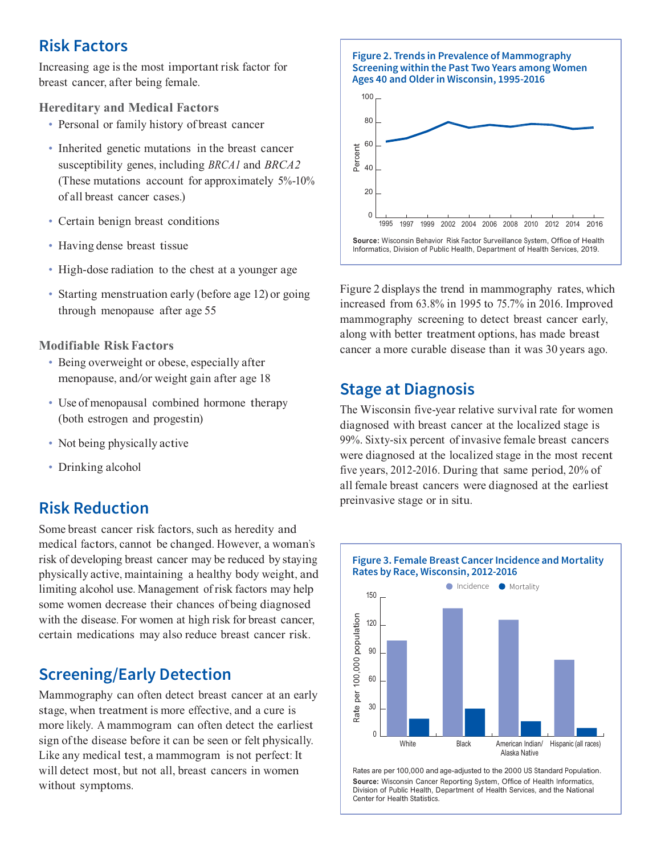### Risk Factors

Increasing age is the most important risk factor for breast cancer, after being female.

#### Hereditary and Medical Factors

- Personal or family history of breast cancer
- Inherited genetic mutations in the breast cancer susceptibility genes, including BRCA1 and BRCA2 (These mutations account for approximately 5%-10% of all breast cancer cases.)
- Certain benign breast conditions
- Having dense breast tissue
- High-dose radiation to the chest at a younger age
- Starting menstruation early (before age 12) or going through menopause after age 55

#### Modifiable Risk Factors

- Being overweight or obese, especially after menopause, and/or weight gain after age 18
- Use of menopausal combined hormone therapy (both estrogen and progestin)
- Not being physically active
- Drinking alcohol

### Risk Reduction

Some breast cancer risk factors, such as heredity and medical factors, cannot be changed. However, a woman's risk of developing breast cancer may be reduced by staying physically active, maintaining a healthy body weight, and<br>limiting alcohol use Management of risk factors may help  $\text{limiting alcohol use. Management of risk factors may help}$   $\begin{array}{|l|l|} \hline \end{array}$ some women decrease their chances of being diagnosed with the disease. For women at high risk for breast cancer,<br>
certain medications may also reduce breast cancer risk.<br>
Screening/Early Detection<br>
Mammography can often detect breast cancer at an early<br>  $\begin{bmatrix} 5 & 120 \\ 20 &$ certain medications may also reduce breast cancer risk.

## Screening/Early Detection

Mammography can often detect breast cancer at an early stage, when treatment is more effective, and a cure is stage, when treatment is more effective, and a cure is<br>more likely. A mammogram can often detect the earliest sign of the disease before it can be seen or felt physically. Like any medical test, a mammogram is not perfect: It will detect most, but not all, breast cancers in women Rates are per 100,000 and age-adjusted to the 2000 US Standard Population. Will detect most, but not all, breast cancers in women<br>
Without symptoms.<br>
Division of Public Health. Department of Health Services, and the National





Figure 2 displays the trend in mammography rates, which increased from 63.8% in 1995 to 75.7% in 2016. Improved mammography screening to detect breast cancer early, along with better treatment options, has made breast cancer a more curable disease than it was 30 years ago.

### Stage at Diagnosis

The Wisconsin five-year relative survival rate for women diagnosed with breast cancer at the localized stage is 99%. Sixty-six percent of invasive female breast cancers were diagnosed at the localized stage in the most recent five years, 2012-2016. During that same period, 20% of all female breast cancers were diagnosed at the earliest preinvasive stage or in situ.



Division of Public Health, Department of Health Services, and the National Center for Health Statistics.